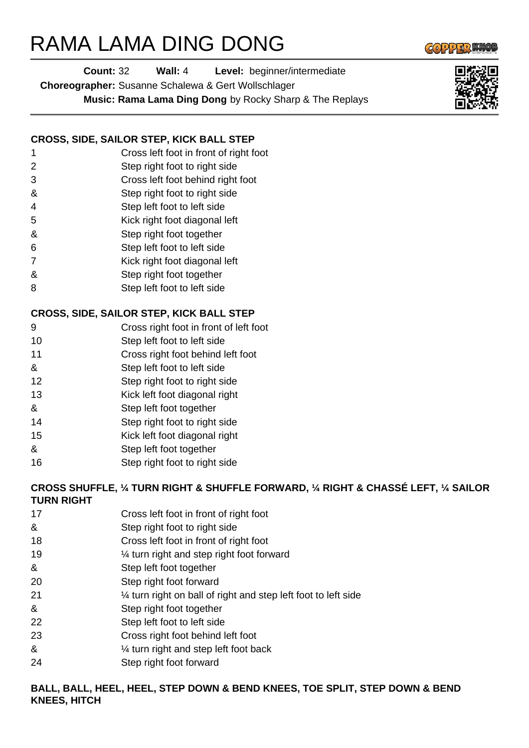# RAMA LAMA DING DONG



**Choreographer:** Susanne Schalewa & Gert Wollschlager

**Music: Rama Lama Ding Dong** by Rocky Sharp & The Replays

### **CROSS, SIDE, SAILOR STEP, KICK BALL STEP**

- 1 Cross left foot in front of right foot
- 2 Step right foot to right side
- 3 Cross left foot behind right foot
- & Step right foot to right side
- 4 Step left foot to left side
- 5 Kick right foot diagonal left
- & Step right foot together
- 6 Step left foot to left side
- 7 Kick right foot diagonal left
- & Step right foot together
- 8 Step left foot to left side

## **CROSS, SIDE, SAILOR STEP, KICK BALL STEP**

- 9 Cross right foot in front of left foot
- 10 Step left foot to left side
- 11 Cross right foot behind left foot
- & Step left foot to left side
- 12 Step right foot to right side
- 13 Kick left foot diagonal right
- & Step left foot together
- 14 Step right foot to right side
- 15 Kick left foot diagonal right
- & Step left foot together
- 16 Step right foot to right side

#### **CROSS SHUFFLE, ¼ TURN RIGHT & SHUFFLE FORWARD, ¼ RIGHT & CHASSÉ LEFT, ¼ SAILOR TURN RIGHT**

- 17 Cross left foot in front of right foot
- & Step right foot to right side
- 18 Cross left foot in front of right foot
- 19 ¼ turn right and step right foot forward
- & Step left foot together
- 20 Step right foot forward
- 21 ¼ turn right on ball of right and step left foot to left side
- & Step right foot together
- 22 Step left foot to left side
- 23 Cross right foot behind left foot
- & ¼ turn right and step left foot back
- 24 Step right foot forward

### **BALL, BALL, HEEL, HEEL, STEP DOWN & BEND KNEES, TOE SPLIT, STEP DOWN & BEND KNEES, HITCH**